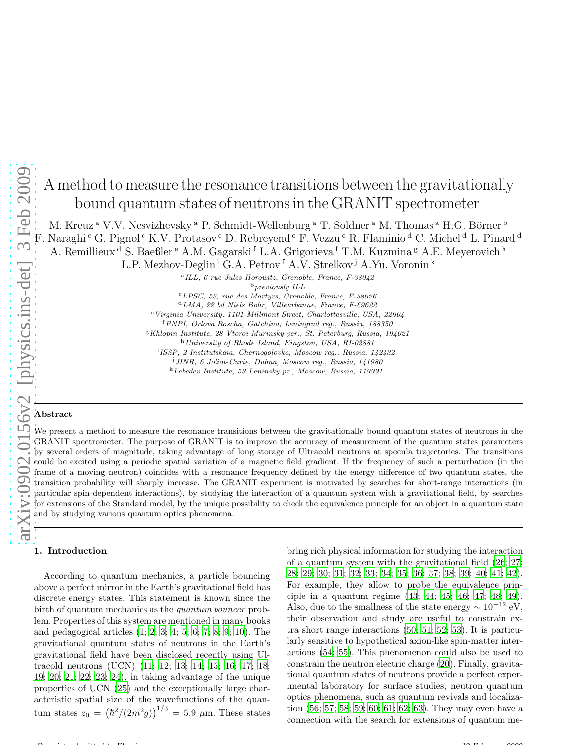# A method to measure the resonance transitions between the gravitationally bound quantum states of neutrons in the GRANIT spectrometer

M. Kreuz <sup>a</sup> V.V. Nesvizhevsky <sup>a</sup> P. Schmidt-Wellenburg <sup>a</sup> T. Soldner <sup>a</sup> M. Thomas <sup>a</sup> H.G. Börner <sup>b</sup> F. Naraghi <sup>c</sup> G. Pignol <sup>c</sup> K.V. Protasov <sup>c</sup> D. Rebreyend <sup>c</sup> F. Vezzu <sup>c</sup> R. Flaminio <sup>d</sup> C. Michel <sup>d</sup> L. Pinard <sup>d</sup>

A. Remillieux <sup>d</sup> S. Baeßler <sup>e</sup> A.M. Gagarski <sup>f</sup> L.A. Grigorieva <sup>f</sup> T.M. Kuzmina <sup>g</sup> A.E. Meyerovich <sup>h</sup>

L.P. Mezhov-Deglin<sup> i</sup> G.A. Petrov <sup>f</sup> A.V. Strelkov <sup>j</sup> A.Yu. Voronin <sup>k</sup><br><sup>a</sup>ILL, 6 rue Jules Horowitz, Grenoble, France, F-38042

 $^{\rm b}$  previously ILL

<sup>c</sup>LPSC, 53, rue des Martyrs, Grenoble, France, F-38026

<sup>d</sup>LMA, 22 bd Niels Bohr, Villeurbanne, France, F-69622

<sup>e</sup> Virginia University, 1101 Millmont Street, Charlottesville, USA, 22904

<sup>f</sup>PNPI, Orlova Roscha, Gatchina, Leningrad reg., Russia, 188350

<sup>g</sup> Khlopin Institute, 28 Vtoroi Murinsky per., St. Peterburg, Russia, 194021

<sup>h</sup>University of Rhode Island, Kingston, USA, RI-02881 i ISSP, 2 Institutskaia, Chernogolovka, Moscow reg., Russia, 142432

<sup>j</sup>JINR, 6 Joliot-Curie, Dubna, Moscow reg., Russia, 141980

<sup>k</sup>Lebedev Institute, 53 Leninsky pr., Moscow, Russia, 119991

## Abstract

We present a method to measure the resonance transitions between the gravitationally bound quantum states of neutrons in the GRANIT spectrometer. The purpose of GRANIT is to improve the accuracy of measurement of the quantum states parameters by several orders of magnitude, taking advantage of long storage of Ultracold neutrons at specula trajectories. The transitions could be excited using a periodic spatial variation of a magnetic field gradient. If the frequency of such a perturbation (in the frame of a moving neutron) coincides with a resonance frequency defined by the energy difference of two quantum states, the transition probability will sharply increase. The GRANIT experiment is motivated by searches for short-range interactions (in particular spin-dependent interactions), by studying the interaction of a quantum system with a gravitational field, by searches for extensions of the Standard model, by the unique possibility to check the equivalence principle for an object in a quantum state and by studying various quantum optics phenomena.

According to quantum mechanics, a particle bouncing above a perfect mirror in the Earth's gravitational field has discrete energy states. This statement is known since the birth of quantum mechanics as the quantum bouncer problem. Properties of this system are mentioned in many books and pedagogical articles [\(1](#page-4-0); [2;](#page-4-1) [3;](#page-4-2) [4](#page-4-3); [5](#page-4-4); [6;](#page-4-5) [7](#page-4-6); [8](#page-4-7); [9;](#page-4-8) [10\)](#page-4-9). The gravitational quantum states of neutrons in the Earth's gravitational field have been disclosed recently using Ultracold neutrons (UCN) [\(11](#page-4-10); [12;](#page-4-11) [13](#page-4-12); [14;](#page-4-13) [15](#page-4-14); [16;](#page-4-15) [17;](#page-4-16) [18;](#page-4-17) [19](#page-4-18); [20;](#page-4-19) [21;](#page-4-20) [22](#page-4-21); [23;](#page-4-22) [24](#page-4-23)), in taking advantage of the unique properties of UCN [\(25\)](#page-4-24) and the exceptionally large characteristic spatial size of the wavefunctions of the quantum states  $z_0 = (\hbar^2/(2m^2g))^{1/3} = 5.9 \mu$ m. These states

**1.** Introduction **bring rich physical information for studying the interaction** of a quantum system with the gravitational field [\(26;](#page-4-25) [27;](#page-4-26) [28](#page-4-27); [29;](#page-4-28) [30;](#page-4-29) [31](#page-4-30); [32](#page-4-31); [33;](#page-4-32) [34;](#page-4-33) [35](#page-4-34); [36](#page-4-35); [37;](#page-4-36) [38;](#page-4-37) [39](#page-4-38); [40;](#page-4-39) [41;](#page-4-40) [42\)](#page-4-41). For example, they allow to probe the equivalence principle in a quantum regime [\(43;](#page-4-42) [44;](#page-4-43) [45](#page-4-44); [46;](#page-4-45) [47](#page-4-46); [48;](#page-4-47) [49\)](#page-4-48). Also, due to the smallness of the state energy  $\sim 10^{-12}$  eV, their observation and study are useful to constrain extra short range interactions [\(50](#page-4-49); [51;](#page-4-50) [52;](#page-4-51) [53\)](#page-4-52). It is particularly sensitive to hypothetical axion-like spin-matter interactions [\(54](#page-4-53); [55\)](#page-4-54). This phenomenon could also be used to constrain the neutron electric charge [\(20](#page-4-19)). Finally, gravitational quantum states of neutrons provide a perfect experimental laboratory for surface studies, neutron quantum optics phenomena, such as quantum revivals and localization [\(56](#page-4-55); [57;](#page-4-56) [58;](#page-4-57) [59;](#page-4-58) [60](#page-4-59); [61](#page-4-60); [62;](#page-4-61) [63\)](#page-4-62). They may even have a connection with the search for extensions of quantum me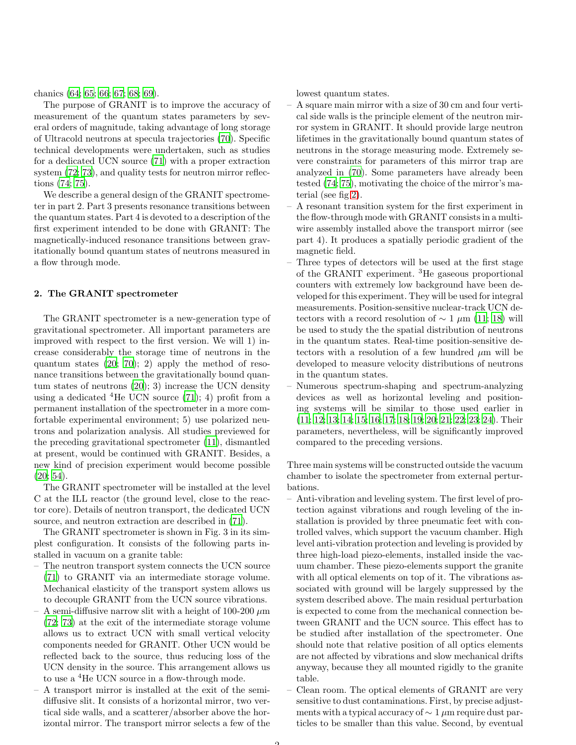chanics [\(64](#page-4-63); [65;](#page-4-64) [66;](#page-4-65) [67;](#page-4-66) [68](#page-5-0); [69\)](#page-5-1).

The purpose of GRANIT is to improve the accuracy of measurement of the quantum states parameters by several orders of magnitude, taking advantage of long storage of Ultracold neutrons at specula trajectories [\(70\)](#page-5-2). Specific technical developments were undertaken, such as studies for a dedicated UCN source [\(71\)](#page-5-3) with a proper extraction system  $(72; 73)$  $(72; 73)$ , and quality tests for neutron mirror reflections [\(74](#page-5-6); [75\)](#page-5-7).

We describe a general design of the GRANIT spectrometer in part 2. Part 3 presents resonance transitions between the quantum states. Part 4 is devoted to a description of the first experiment intended to be done with GRANIT: The magnetically-induced resonance transitions between gravitationally bound quantum states of neutrons measured in a flow through mode.

### 2. The GRANIT spectrometer

The GRANIT spectrometer is a new-generation type of gravitational spectrometer. All important parameters are improved with respect to the first version. We will 1) increase considerably the storage time of neutrons in the quantum states  $(20; 70); 2$  $(20; 70); 2$  $(20; 70); 2$  apply the method of resonance transitions between the gravitationally bound quantum states of neutrons [\(20\)](#page-4-19); 3) increase the UCN density using a dedicated  ${}^{4}$ He UCN source [\(71\)](#page-5-3); 4) profit from a permanent installation of the spectrometer in a more comfortable experimental environment; 5) use polarized neutrons and polarization analysis. All studies previewed for the preceding gravitational spectrometer [\(11\)](#page-4-10), dismantled at present, would be continued with GRANIT. Besides, a new kind of precision experiment would become possible [\(20;](#page-4-19) [54\)](#page-4-53).

The GRANIT spectrometer will be installed at the level C at the ILL reactor (the ground level, close to the reactor core). Details of neutron transport, the dedicated UCN source, and neutron extraction are described in [\(71](#page-5-3)).

The GRANIT spectrometer is shown in Fig. 3 in its simplest configuration. It consists of the following parts installed in vacuum on a granite table:

- The neutron transport system connects the UCN source [\(71\)](#page-5-3) to GRANIT via an intermediate storage volume. Mechanical elasticity of the transport system allows us to decouple GRANIT from the UCN source vibrations.
- A semi-diffusive narrow slit with a height of 100-200  $\mu$ m [\(72;](#page-5-4) [73](#page-5-5)) at the exit of the intermediate storage volume allows us to extract UCN with small vertical velocity components needed for GRANIT. Other UCN would be reflected back to the source, thus reducing loss of the UCN density in the source. This arrangement allows us to use a <sup>4</sup>He UCN source in a flow-through mode.
- A transport mirror is installed at the exit of the semidiffusive slit. It consists of a horizontal mirror, two vertical side walls, and a scatterer/absorber above the horizontal mirror. The transport mirror selects a few of the

lowest quantum states.

- A square main mirror with a size of 30 cm and four vertical side walls is the principle element of the neutron mirror system in GRANIT. It should provide large neutron lifetimes in the gravitationally bound quantum states of neutrons in the storage measuring mode. Extremely severe constraints for parameters of this mirror trap are analyzed in [\(70\)](#page-5-2). Some parameters have already been tested [\(74](#page-5-6); [75\)](#page-5-7), motivating the choice of the mirror's material (see fig [2\)](#page-2-0).
- A resonant transition system for the first experiment in the flow-through mode with GRANIT consists in a multiwire assembly installed above the transport mirror (see part 4). It produces a spatially periodic gradient of the magnetic field.
- Three types of detectors will be used at the first stage of the GRANIT experiment. <sup>3</sup>He gaseous proportional counters with extremely low background have been developed for this experiment. They will be used for integral measurements. Position-sensitive nuclear-track UCN detectors with a record resolution of  $\sim$  1  $\mu$ m [\(11;](#page-4-10) [18\)](#page-4-17) will be used to study the the spatial distribution of neutrons in the quantum states. Real-time position-sensitive detectors with a resolution of a few hundred  $\mu$ m will be developed to measure velocity distributions of neutrons in the quantum states.
- Numerous spectrum-shaping and spectrum-analyzing devices as well as horizontal leveling and positioning systems will be similar to those used earlier in [\(11;](#page-4-10) [12;](#page-4-11) [13;](#page-4-12) [14;](#page-4-13) [15;](#page-4-14) [16;](#page-4-15) [17;](#page-4-16) [18;](#page-4-17) [19;](#page-4-18) [20;](#page-4-19) [21;](#page-4-20) [22;](#page-4-21) [23;](#page-4-22) [24\)](#page-4-23). Their parameters, nevertheless, will be significantly improved compared to the preceding versions.

Three main systems will be constructed outside the vacuum chamber to isolate the spectrometer from external perturbations.

- Anti-vibration and leveling system. The first level of protection against vibrations and rough leveling of the installation is provided by three pneumatic feet with controlled valves, which support the vacuum chamber. High level anti-vibration protection and leveling is provided by three high-load piezo-elements, installed inside the vacuum chamber. These piezo-elements support the granite with all optical elements on top of it. The vibrations associated with ground will be largely suppressed by the system described above. The main residual perturbation is expected to come from the mechanical connection between GRANIT and the UCN source. This effect has to be studied after installation of the spectrometer. One should note that relative position of all optics elements are not affected by vibrations and slow mechanical drifts anyway, because they all mounted rigidly to the granite table.
- Clean room. The optical elements of GRANIT are very sensitive to dust contaminations. First, by precise adjustments with a typical accuracy of  $\sim 1 \mu m$  require dust particles to be smaller than this value. Second, by eventual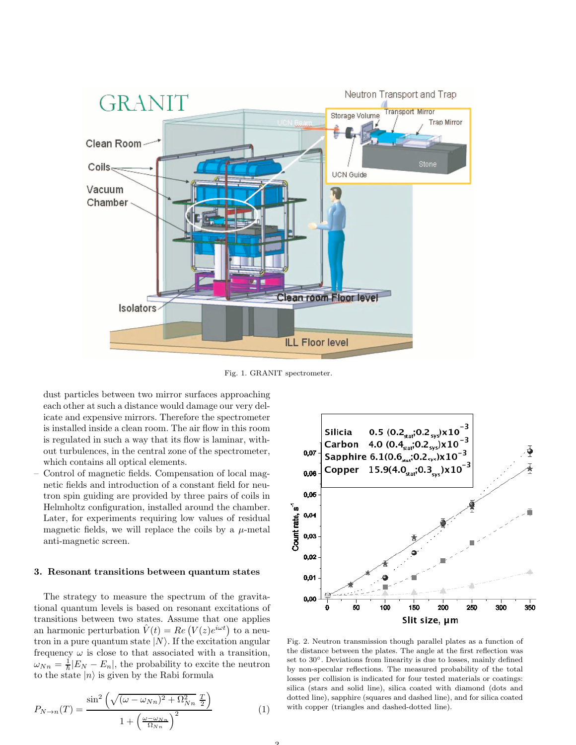

Fig. 1. GRANIT spectrometer.

dust particles between two mirror surfaces approaching each other at such a distance would damage our very delicate and expensive mirrors. Therefore the spectrometer is installed inside a clean room. The air flow in this room is regulated in such a way that its flow is laminar, without turbulences, in the central zone of the spectrometer, which contains all optical elements.

– Control of magnetic fields. Compensation of local magnetic fields and introduction of a constant field for neutron spin guiding are provided by three pairs of coils in Helmholtz configuration, installed around the chamber. Later, for experiments requiring low values of residual magnetic fields, we will replace the coils by a  $\mu$ -metal anti-magnetic screen.

#### 3. Resonant transitions between quantum states

The strategy to measure the spectrum of the gravitational quantum levels is based on resonant excitations of transitions between two states. Assume that one applies an harmonic perturbation  $\hat{V}(t) = Re\left(V(z)e^{i\omega t}\right)$  to a neutron in a pure quantum state  $|N\rangle$ . If the excitation angular frequency  $\omega$  is close to that associated with a transition,  $\omega_{Nn} = \frac{1}{\hbar} |E_N - E_n|$ , the probability to excite the neutron to the state  $|n\rangle$  is given by the Rabi formula

<span id="page-2-1"></span>
$$
P_{N \to n}(T) = \frac{\sin^2\left(\sqrt{(\omega - \omega_{Nn})^2 + \Omega_{Nn}^2} \frac{T}{2}\right)}{1 + \left(\frac{\omega - \omega_{Nn}}{\Omega_{Nn}}\right)^2} \tag{1}
$$



<span id="page-2-0"></span>Fig. 2. Neutron transmission though parallel plates as a function of the distance between the plates. The angle at the first reflection was set to 30°. Deviations from linearity is due to losses, mainly defined by non-specular reflections. The measured probability of the total losses per collision is indicated for four tested materials or coatings: silica (stars and solid line), silica coated with diamond (dots and dotted line), sapphire (squares and dashed line), and for silica coated with copper (triangles and dashed-dotted line).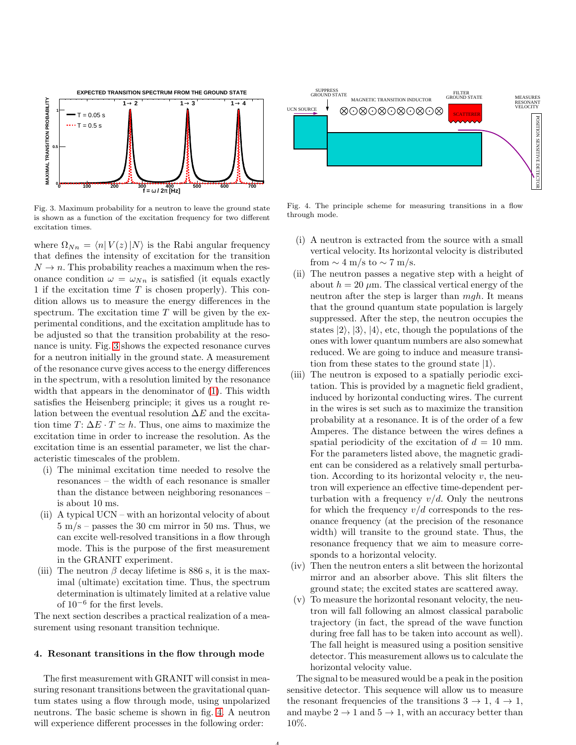

<span id="page-3-0"></span>Fig. 3. Maximum probability for a neutron to leave the ground state is shown as a function of the excitation frequency for two different excitation times.

where  $\Omega_{Nn} = \langle n| V(z)|N \rangle$  is the Rabi angular frequency that defines the intensity of excitation for the transition  $N \to n$ . This probability reaches a maximum when the resonance condition  $\omega = \omega_{Nn}$  is satisfied (it equals exactly 1 if the excitation time  $T$  is chosen properly). This condition allows us to measure the energy differences in the spectrum. The excitation time  $T$  will be given by the experimental conditions, and the excitation amplitude has to be adjusted so that the transition probability at the resonance is unity. Fig. [3](#page-3-0) shows the expected resonance curves for a neutron initially in the ground state. A measurement of the resonance curve gives access to the energy differences in the spectrum, with a resolution limited by the resonance width that appears in the denominator of [\(1\)](#page-2-1). This width satisfies the Heisenberg principle; it gives us a rought relation between the eventual resolution  $\Delta E$  and the excitation time  $T: \Delta E \cdot T \simeq h$ . Thus, one aims to maximize the excitation time in order to increase the resolution. As the excitation time is an essential parameter, we list the characteristic timescales of the problem.

- (i) The minimal excitation time needed to resolve the resonances – the width of each resonance is smaller than the distance between neighboring resonances – is about 10 ms.
- (ii) A typical UCN with an horizontal velocity of about  $5 \text{ m/s}$  – passes the 30 cm mirror in 50 ms. Thus, we can excite well-resolved transitions in a flow through mode. This is the purpose of the first measurement in the GRANIT experiment.
- (iii) The neutron  $\beta$  decay lifetime is 886 s, it is the maximal (ultimate) excitation time. Thus, the spectrum determination is ultimately limited at a relative value of 10<sup>-6</sup> for the first levels.

The next section describes a practical realization of a measurement using resonant transition technique.

#### 4. Resonant transitions in the flow through mode

The first measurement with GRANIT will consist in measuring resonant transitions between the gravitational quantum states using a flow through mode, using unpolarized neutrons. The basic scheme is shown in fig. [4.](#page-3-1) A neutron will experience different processes in the following order:



<span id="page-3-1"></span>Fig. 4. The principle scheme for measuring transitions in a flow through mode.

- (i) A neutron is extracted from the source with a small vertical velocity. Its horizontal velocity is distributed from  $\sim 4$  m/s to  $\sim 7$  m/s.
- (ii) The neutron passes a negative step with a height of about  $h = 20 \mu m$ . The classical vertical energy of the neutron after the step is larger than  $mgh$ . It means that the ground quantum state population is largely suppressed. After the step, the neutron occupies the states  $|2\rangle$ ,  $|3\rangle$ ,  $|4\rangle$ , etc, though the populations of the ones with lower quantum numbers are also somewhat reduced. We are going to induce and measure transition from these states to the ground state  $|1\rangle$ .
- (iii) The neutron is exposed to a spatially periodic excitation. This is provided by a magnetic field gradient, induced by horizontal conducting wires. The current in the wires is set such as to maximize the transition probability at a resonance. It is of the order of a few Amperes. The distance between the wires defines a spatial periodicity of the excitation of  $d = 10$  mm. For the parameters listed above, the magnetic gradient can be considered as a relatively small perturbation. According to its horizontal velocity  $v$ , the neutron will experience an effective time-dependent perturbation with a frequency  $v/d$ . Only the neutrons for which the frequency  $v/d$  corresponds to the resonance frequency (at the precision of the resonance width) will transite to the ground state. Thus, the resonance frequency that we aim to measure corresponds to a horizontal velocity.
- (iv) Then the neutron enters a slit between the horizontal mirror and an absorber above. This slit filters the ground state; the excited states are scattered away.
- (v) To measure the horizontal resonant velocity, the neutron will fall following an almost classical parabolic trajectory (in fact, the spread of the wave function during free fall has to be taken into account as well). The fall height is measured using a position sensitive detector. This measurement allows us to calculate the horizontal velocity value.

The signal to be measured would be a peak in the position sensitive detector. This sequence will allow us to measure the resonant frequencies of the transitions  $3 \rightarrow 1, 4 \rightarrow 1$ , and maybe  $2 \rightarrow 1$  and  $5 \rightarrow 1$ , with an accuracy better than 10%.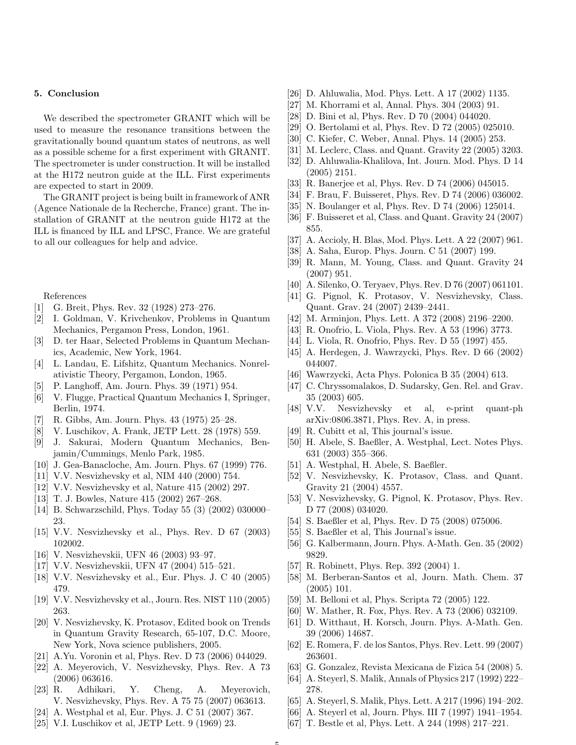#### 5. Conclusion

We described the spectrometer GRANIT which will be used to measure the resonance transitions between the gravitationally bound quantum states of neutrons, as well as a possible scheme for a first experiment with GRANIT. The spectrometer is under construction. It will be installed at the H172 neutron guide at the ILL. First experiments are expected to start in 2009.

The GRANIT project is being built in framework of ANR (Agence Nationale de la Recherche, France) grant. The installation of GRANIT at the neutron guide H172 at the ILL is financed by ILL and LPSC, France. We are grateful to all our colleagues for help and advice.

References

- <span id="page-4-0"></span>[1] G. Breit, Phys. Rev. 32 (1928) 273–276.
- <span id="page-4-1"></span>[2] I. Goldman, V. Krivchenkov, Problems in Quantum Mechanics, Pergamon Press, London, 1961.
- <span id="page-4-2"></span>[3] D. ter Haar, Selected Problems in Quantum Mechanics, Academic, New York, 1964.
- <span id="page-4-3"></span>[4] L. Landau, E. Lifshitz, Quantum Mechanics. Nonrelativistic Theory, Pergamon, London, 1965.
- <span id="page-4-4"></span>[5] P. Langhoff, Am. Journ. Phys. 39 (1971) 954.
- <span id="page-4-5"></span>[6] V. Flugge, Practical Quantum Mechanics I, Springer, Berlin, 1974.
- <span id="page-4-6"></span>[7] R. Gibbs, Am. Journ. Phys. 43 (1975) 25–28.
- <span id="page-4-7"></span>[8] V. Luschikov, A. Frank, JETP Lett. 28 (1978) 559.
- <span id="page-4-8"></span>[9] J. Sakurai, Modern Quantum Mechanics, Benjamin/Cummings, Menlo Park, 1985.
- <span id="page-4-9"></span>[10] J. Gea-Banacloche, Am. Journ. Phys. 67 (1999) 776.
- <span id="page-4-10"></span>[11] V.V. Nesvizhevsky et al, NIM 440 (2000) 754.
- <span id="page-4-11"></span>[12] V.V. Nesvizhevsky et al, Nature 415 (2002) 297.
- <span id="page-4-12"></span>[13] T. J. Bowles, Nature 415 (2002) 267–268.
- <span id="page-4-13"></span>[14] B. Schwarzschild, Phys. Today 55 (3) (2002) 030000– 23.
- <span id="page-4-14"></span>[15] V.V. Nesvizhevsky et al., Phys. Rev. D 67 (2003) 102002.
- <span id="page-4-15"></span>[16] V. Nesvizhevskii, UFN 46 (2003) 93–97.
- <span id="page-4-16"></span>[17] V.V. Nesvizhevskii, UFN 47 (2004) 515–521.
- <span id="page-4-17"></span>[18] V.V. Nesvizhevsky et al., Eur. Phys. J. C 40 (2005) 479.
- <span id="page-4-18"></span>[19] V.V. Nesvizhevsky et al., Journ. Res. NIST 110 (2005) 263.
- <span id="page-4-19"></span>[20] V. Nesvizhevsky, K. Protasov, Edited book on Trends in Quantum Gravity Research, 65-107, D.C. Moore, New York, Nova science publishers, 2005.
- <span id="page-4-20"></span>[21] A.Yu. Voronin et al, Phys. Rev. D 73 (2006) 044029.
- <span id="page-4-21"></span>[22] A. Meyerovich, V. Nesvizhevsky, Phys. Rev. A 73 (2006) 063616.
- <span id="page-4-22"></span>[23] R. Adhikari, Y. Cheng, A. Meyerovich, V. Nesvizhevsky, Phys. Rev. A 75 75 (2007) 063613.
- <span id="page-4-23"></span>[24] A. Westphal et al, Eur. Phys. J. C 51 (2007) 367.
- <span id="page-4-24"></span>[25] V.I. Luschikov et al, JETP Lett. 9 (1969) 23.
- <span id="page-4-25"></span>[26] D. Ahluwalia, Mod. Phys. Lett. A 17 (2002) 1135.
- <span id="page-4-26"></span>[27] M. Khorrami et al, Annal. Phys. 304 (2003) 91.
- <span id="page-4-27"></span>[28] D. Bini et al, Phys. Rev. D 70 (2004) 044020.
- <span id="page-4-28"></span>[29] O. Bertolami et al, Phys. Rev. D 72 (2005) 025010.
- <span id="page-4-29"></span>[30] C. Kiefer, C. Weber, Annal. Phys. 14 (2005) 253.
- <span id="page-4-30"></span>[31] M. Leclerc, Class. and Quant. Gravity 22 (2005) 3203.
- <span id="page-4-31"></span>[32] D. Ahluwalia-Khalilova, Int. Journ. Mod. Phys. D 14 (2005) 2151.
- <span id="page-4-32"></span>[33] R. Banerjee et al, Phys. Rev. D 74 (2006) 045015.
- <span id="page-4-33"></span>[34] F. Brau, F. Buisseret, Phys. Rev. D 74 (2006) 036002.
- <span id="page-4-34"></span>[35] N. Boulanger et al, Phys. Rev. D 74 (2006) 125014.
- <span id="page-4-35"></span>[36] F. Buisseret et al, Class. and Quant. Gravity 24 (2007) 855.
- <span id="page-4-36"></span>[37] A. Accioly, H. Blas, Mod. Phys. Lett. A 22 (2007) 961.
- <span id="page-4-37"></span>[38] A. Saha, Europ. Phys. Journ. C 51 (2007) 199.
- <span id="page-4-38"></span>[39] R. Mann, M. Young, Class. and Quant. Gravity 24 (2007) 951.
- <span id="page-4-39"></span>[40] A. Silenko, O. Teryaev, Phys. Rev. D 76 (2007) 061101.
- <span id="page-4-40"></span>[41] G. Pignol, K. Protasov, V. Nesvizhevsky, Class. Quant. Grav. 24 (2007) 2439–2441.
- <span id="page-4-41"></span>[42] M. Arminjon, Phys. Lett. A 372 (2008) 2196–2200.
- <span id="page-4-42"></span>[43] R. Onofrio, L. Viola, Phys. Rev. A 53 (1996) 3773.
- <span id="page-4-43"></span>[44] L. Viola, R. Onofrio, Phys. Rev. D 55 (1997) 455.
- <span id="page-4-44"></span>[45] A. Herdegen, J. Wawrzycki, Phys. Rev. D 66 (2002) 044007.
- <span id="page-4-45"></span>[46] Wawrzycki, Acta Phys. Polonica B 35 (2004) 613.
- <span id="page-4-46"></span>[47] C. Chryssomalakos, D. Sudarsky, Gen. Rel. and Grav. 35 (2003) 605.
- <span id="page-4-47"></span>[48] V.V. Nesvizhevsky et al, e-print quant-ph arXiv:0806.3871, Phys. Rev. A, in press.
- <span id="page-4-48"></span>[49] R. Cubitt et al, This journal's issue.
- <span id="page-4-49"></span>[50] H. Abele, S. Baeßler, A. Westphal, Lect. Notes Phys. 631 (2003) 355–366.
- <span id="page-4-50"></span>[51] A. Westphal, H. Abele, S. Baeßler.
- <span id="page-4-51"></span>[52] V. Nesvizhevsky, K. Protasov, Class. and Quant. Gravity 21 (2004) 4557.
- <span id="page-4-52"></span>[53] V. Nesvizhevsky, G. Pignol, K. Protasov, Phys. Rev. D 77 (2008) 034020.
- <span id="page-4-53"></span>[54] S. Baeßler et al, Phys. Rev. D 75 (2008) 075006.
- <span id="page-4-54"></span>[55] S. Baeßler et al, This Journal's issue.
- <span id="page-4-55"></span>[56] G. Kalbermann, Journ. Phys. A-Math. Gen. 35 (2002) 9829.
- <span id="page-4-56"></span>[57] R. Robinett, Phys. Rep. 392 (2004) 1.
- <span id="page-4-57"></span>[58] M. Berberan-Santos et al, Journ. Math. Chem. 37 (2005) 101.
- <span id="page-4-58"></span>[59] M. Belloni et al, Phys. Scripta 72 (2005) 122.
- <span id="page-4-59"></span>[60] W. Mather, R. Fox, Phys. Rev. A 73 (2006) 032109.
- <span id="page-4-60"></span>[61] D. Witthaut, H. Korsch, Journ. Phys. A-Math. Gen. 39 (2006) 14687.
- <span id="page-4-61"></span>[62] E. Romera, F. de los Santos, Phys. Rev. Lett. 99 (2007) 263601.
- <span id="page-4-62"></span>[63] G. Gonzalez, Revista Mexicana de Fizica 54 (2008) 5.
- <span id="page-4-63"></span>[64] A. Steyerl, S. Malik, Annals of Physics 217 (1992) 222– 278.
- <span id="page-4-64"></span>[65] A. Steyerl, S. Malik, Phys. Lett. A 217 (1996) 194–202.
- <span id="page-4-65"></span>[66] A. Steyerl et al, Journ. Phys. III 7 (1997) 1941–1954.
- <span id="page-4-66"></span>[67] T. Bestle et al, Phys. Lett. A 244 (1998) 217–221.